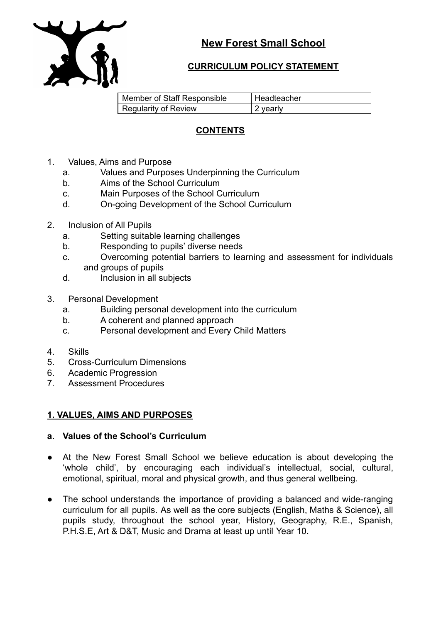

# **CURRICULUM POLICY STATEMENT**

| Member of Staff Responsible | l Headteacher |
|-----------------------------|---------------|
| Regularity of Review        | 2 vearly      |

# **CONTENTS**

- 1. Values, Aims and Purpose
	- a. Values and Purposes Underpinning the Curriculum
	- b. Aims of the School Curriculum
	- c. Main Purposes of the School Curriculum
	- d. On-going Development of the School Curriculum
- 2. Inclusion of All Pupils
	- a. Setting suitable learning challenges
	- b. Responding to pupils' diverse needs
	- c. Overcoming potential barriers to learning and assessment for individuals and groups of pupils
	- d. Inclusion in all subjects
- 3. Personal Development
	- a. Building personal development into the curriculum
	- b. A coherent and planned approach
	- c. Personal development and Every Child Matters
- 4. Skills
- 5. Cross-Curriculum Dimensions
- 6. Academic Progression
- 7. Assessment Procedures

# **1. VALUES, AIMS AND PURPOSES**

## **a. Values of the School's Curriculum**

- At the New Forest Small School we believe education is about developing the 'whole child', by encouraging each individual's intellectual, social, cultural, emotional, spiritual, moral and physical growth, and thus general wellbeing.
- The school understands the importance of providing a balanced and wide-ranging curriculum for all pupils. As well as the core subjects (English, Maths & Science), all pupils study, throughout the school year, History, Geography, R.E., Spanish, P.H.S.E, Art & D&T, Music and Drama at least up until Year 10.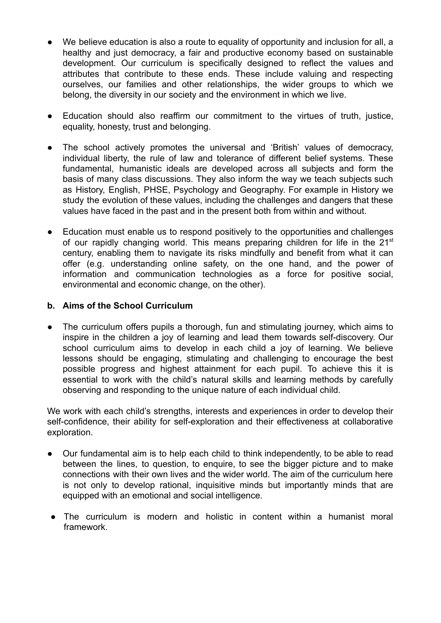- We believe education is also a route to equality of opportunity and inclusion for all, a healthy and just democracy, a fair and productive economy based on sustainable development. Our curriculum is specifically designed to reflect the values and attributes that contribute to these ends. These include valuing and respecting ourselves, our families and other relationships, the wider groups to which we belong, the diversity in our society and the environment in which we live.
- Education should also reaffirm our commitment to the virtues of truth, justice, equality, honesty, trust and belonging.
- The school actively promotes the universal and 'British' values of democracy, individual liberty, the rule of law and tolerance of different belief systems. These fundamental, humanistic ideals are developed across all subjects and form the basis of many class discussions. They also inform the way we teach subjects such as History, English, PHSE, Psychology and Geography. For example in History we study the evolution of these values, including the challenges and dangers that these values have faced in the past and in the present both from within and without.
- Education must enable us to respond positively to the opportunities and challenges of our rapidly changing world. This means preparing children for life in the 21<sup>st</sup> century, enabling them to navigate its risks mindfully and benefit from what it can offer (e.g. understanding online safety, on the one hand, and the power of information and communication technologies as a force for positive social, environmental and economic change, on the other).

### **b. Aims of the School Curriculum**

The curriculum offers pupils a thorough, fun and stimulating journey, which aims to inspire in the children a joy of learning and lead them towards self-discovery. Our school curriculum aims to develop in each child a joy of learning. We believe lessons should be engaging, stimulating and challenging to encourage the best possible progress and highest attainment for each pupil. To achieve this it is essential to work with the child's natural skills and learning methods by carefully observing and responding to the unique nature of each individual child.

We work with each child's strengths, interests and experiences in order to develop their self-confidence, their ability for self-exploration and their effectiveness at collaborative exploration.

- Our fundamental aim is to help each child to think independently, to be able to read between the lines, to question, to enquire, to see the bigger picture and to make connections with their own lives and the wider world. The aim of the curriculum here is not only to develop rational, inquisitive minds but importantly minds that are equipped with an emotional and social intelligence.
- The curriculum is modern and holistic in content within a humanist moral framework.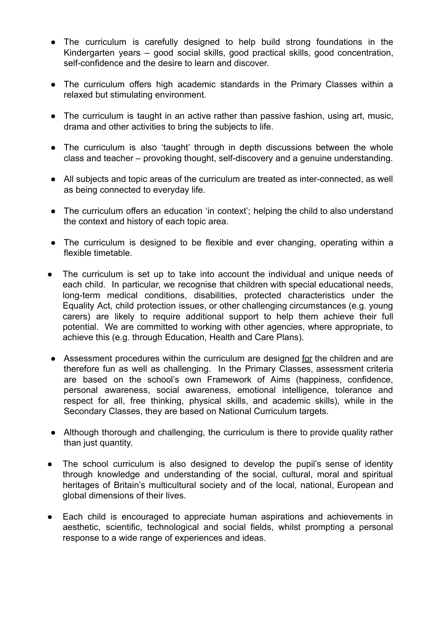- The curriculum is carefully designed to help build strong foundations in the Kindergarten years – good social skills, good practical skills, good concentration, self-confidence and the desire to learn and discover.
- The curriculum offers high academic standards in the Primary Classes within a relaxed but stimulating environment.
- The curriculum is taught in an active rather than passive fashion, using art, music, drama and other activities to bring the subjects to life.
- The curriculum is also 'taught' through in depth discussions between the whole class and teacher – provoking thought, self-discovery and a genuine understanding.
- All subjects and topic areas of the curriculum are treated as inter-connected, as well as being connected to everyday life.
- The curriculum offers an education 'in context'; helping the child to also understand the context and history of each topic area.
- The curriculum is designed to be flexible and ever changing, operating within a flexible timetable.
- The curriculum is set up to take into account the individual and unique needs of each child. In particular, we recognise that children with special educational needs, long-term medical conditions, disabilities, protected characteristics under the Equality Act, child protection issues, or other challenging circumstances (e.g. young carers) are likely to require additional support to help them achieve their full potential. We are committed to working with other agencies, where appropriate, to achieve this (e.g. through Education, Health and Care Plans).
- Assessment procedures within the curriculum are designed for the children and are therefore fun as well as challenging. In the Primary Classes, assessment criteria are based on the school's own Framework of Aims (happiness, confidence, personal awareness, social awareness, emotional intelligence, tolerance and respect for all, free thinking, physical skills, and academic skills), while in the Secondary Classes, they are based on National Curriculum targets.
- Although thorough and challenging, the curriculum is there to provide quality rather than just quantity.
- The school curriculum is also designed to develop the pupil's sense of identity through knowledge and understanding of the social, cultural, moral and spiritual heritages of Britain's multicultural society and of the local, national, European and global dimensions of their lives.
- Each child is encouraged to appreciate human aspirations and achievements in aesthetic, scientific, technological and social fields, whilst prompting a personal response to a wide range of experiences and ideas.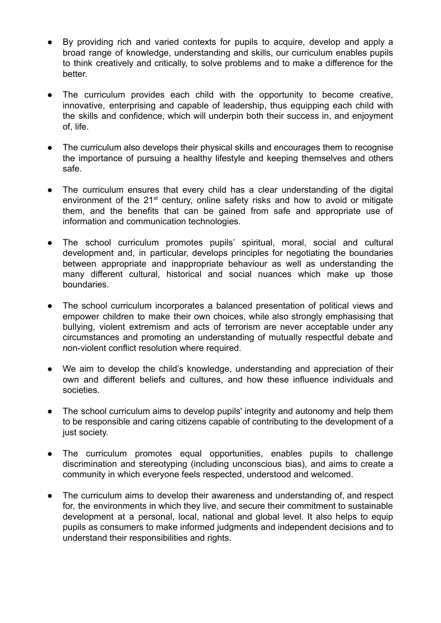- By providing rich and varied contexts for pupils to acquire, develop and apply a broad range of knowledge, understanding and skills, our curriculum enables pupils to think creatively and critically, to solve problems and to make a difference for the better.
- The curriculum provides each child with the opportunity to become creative, innovative, enterprising and capable of leadership, thus equipping each child with the skills and confidence, which will underpin both their success in, and enjoyment of, life.
- The curriculum also develops their physical skills and encourages them to recognise the importance of pursuing a healthy lifestyle and keeping themselves and others safe.
- The curriculum ensures that every child has a clear understanding of the digital environment of the 21<sup>st</sup> century, online safety risks and how to avoid or mitigate them, and the benefits that can be gained from safe and appropriate use of information and communication technologies.
- The school curriculum promotes pupils' spiritual, moral, social and cultural development and, in particular, develops principles for negotiating the boundaries between appropriate and inappropriate behaviour as well as understanding the many different cultural, historical and social nuances which make up those boundaries.
- The school curriculum incorporates a balanced presentation of political views and empower children to make their own choices, while also strongly emphasising that bullying, violent extremism and acts of terrorism are never acceptable under any circumstances and promoting an understanding of mutually respectful debate and non-violent conflict resolution where required.
- We aim to develop the child's knowledge, understanding and appreciation of their own and different beliefs and cultures, and how these influence individuals and societies.
- The school curriculum aims to develop pupils' integrity and autonomy and help them to be responsible and caring citizens capable of contributing to the development of a just society.
- The curriculum promotes equal opportunities, enables pupils to challenge discrimination and stereotyping (including unconscious bias), and aims to create a community in which everyone feels respected, understood and welcomed.
- The curriculum aims to develop their awareness and understanding of, and respect for, the environments in which they live, and secure their commitment to sustainable development at a personal, local, national and global level. It also helps to equip pupils as consumers to make informed judgments and independent decisions and to understand their responsibilities and rights.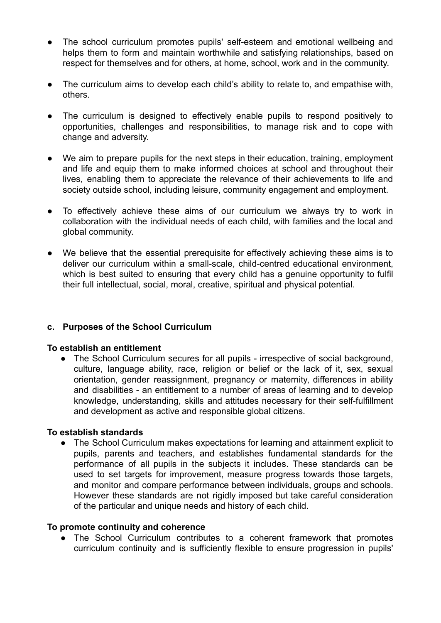- The school curriculum promotes pupils' self-esteem and emotional wellbeing and helps them to form and maintain worthwhile and satisfying relationships, based on respect for themselves and for others, at home, school, work and in the community.
- The curriculum aims to develop each child's ability to relate to, and empathise with, others.
- The curriculum is designed to effectively enable pupils to respond positively to opportunities, challenges and responsibilities, to manage risk and to cope with change and adversity.
- We aim to prepare pupils for the next steps in their education, training, employment and life and equip them to make informed choices at school and throughout their lives, enabling them to appreciate the relevance of their achievements to life and society outside school, including leisure, community engagement and employment.
- To effectively achieve these aims of our curriculum we always try to work in collaboration with the individual needs of each child, with families and the local and global community.
- We believe that the essential prerequisite for effectively achieving these aims is to deliver our curriculum within a small-scale, child-centred educational environment, which is best suited to ensuring that every child has a genuine opportunity to fulfil their full intellectual, social, moral, creative, spiritual and physical potential.

## **c. Purposes of the School Curriculum**

#### **To establish an entitlement**

• The School Curriculum secures for all pupils - irrespective of social background, culture, language ability, race, religion or belief or the lack of it, sex, sexual orientation, gender reassignment, pregnancy or maternity, differences in ability and disabilities - an entitlement to a number of areas of learning and to develop knowledge, understanding, skills and attitudes necessary for their self-fulfillment and development as active and responsible global citizens.

#### **To establish standards**

● The School Curriculum makes expectations for learning and attainment explicit to pupils, parents and teachers, and establishes fundamental standards for the performance of all pupils in the subjects it includes. These standards can be used to set targets for improvement, measure progress towards those targets, and monitor and compare performance between individuals, groups and schools. However these standards are not rigidly imposed but take careful consideration of the particular and unique needs and history of each child.

#### **To promote continuity and coherence**

● The School Curriculum contributes to a coherent framework that promotes curriculum continuity and is sufficiently flexible to ensure progression in pupils'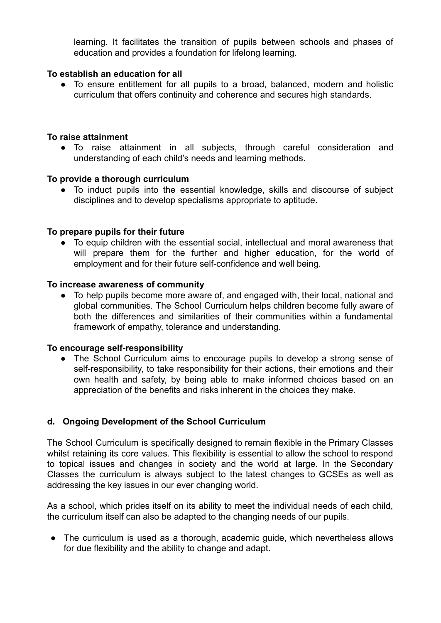learning. It facilitates the transition of pupils between schools and phases of education and provides a foundation for lifelong learning.

### **To establish an education for all**

● To ensure entitlement for all pupils to a broad, balanced, modern and holistic curriculum that offers continuity and coherence and secures high standards.

### **To raise attainment**

● To raise attainment in all subjects, through careful consideration and understanding of each child's needs and learning methods.

### **To provide a thorough curriculum**

● To induct pupils into the essential knowledge, skills and discourse of subject disciplines and to develop specialisms appropriate to aptitude.

### **To prepare pupils for their future**

● To equip children with the essential social, intellectual and moral awareness that will prepare them for the further and higher education, for the world of employment and for their future self-confidence and well being.

#### **To increase awareness of community**

● To help pupils become more aware of, and engaged with, their local, national and global communities. The School Curriculum helps children become fully aware of both the differences and similarities of their communities within a fundamental framework of empathy, tolerance and understanding.

#### **To encourage self-responsibility**

● The School Curriculum aims to encourage pupils to develop a strong sense of self-responsibility, to take responsibility for their actions, their emotions and their own health and safety, by being able to make informed choices based on an appreciation of the benefits and risks inherent in the choices they make.

## **d. Ongoing Development of the School Curriculum**

The School Curriculum is specifically designed to remain flexible in the Primary Classes whilst retaining its core values. This flexibility is essential to allow the school to respond to topical issues and changes in society and the world at large. In the Secondary Classes the curriculum is always subject to the latest changes to GCSEs as well as addressing the key issues in our ever changing world.

As a school, which prides itself on its ability to meet the individual needs of each child, the curriculum itself can also be adapted to the changing needs of our pupils.

• The curriculum is used as a thorough, academic guide, which nevertheless allows for due flexibility and the ability to change and adapt.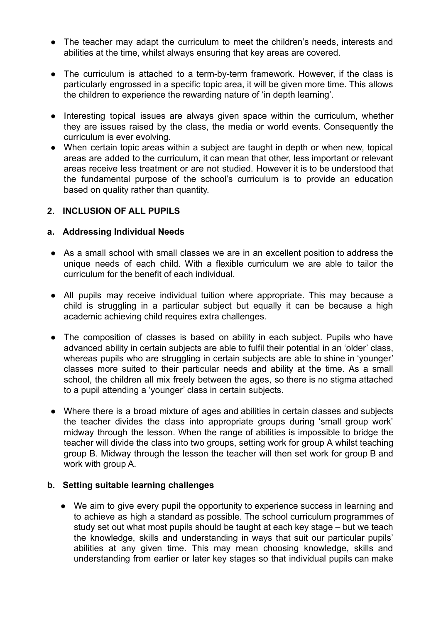- The teacher may adapt the curriculum to meet the children's needs, interests and abilities at the time, whilst always ensuring that key areas are covered.
- The curriculum is attached to a term-by-term framework. However, if the class is particularly engrossed in a specific topic area, it will be given more time. This allows the children to experience the rewarding nature of 'in depth learning'.
- Interesting topical issues are always given space within the curriculum, whether they are issues raised by the class, the media or world events. Consequently the curriculum is ever evolving.
- When certain topic areas within a subject are taught in depth or when new, topical areas are added to the curriculum, it can mean that other, less important or relevant areas receive less treatment or are not studied. However it is to be understood that the fundamental purpose of the school's curriculum is to provide an education based on quality rather than quantity.

## **2. INCLUSION OF ALL PUPILS**

## **a. Addressing Individual Needs**

- As a small school with small classes we are in an excellent position to address the unique needs of each child. With a flexible curriculum we are able to tailor the curriculum for the benefit of each individual.
- All pupils may receive individual tuition where appropriate. This may because a child is struggling in a particular subject but equally it can be because a high academic achieving child requires extra challenges.
- The composition of classes is based on ability in each subject. Pupils who have advanced ability in certain subjects are able to fulfil their potential in an 'older' class, whereas pupils who are struggling in certain subjects are able to shine in 'younger' classes more suited to their particular needs and ability at the time. As a small school, the children all mix freely between the ages, so there is no stigma attached to a pupil attending a 'younger' class in certain subjects.
- Where there is a broad mixture of ages and abilities in certain classes and subjects the teacher divides the class into appropriate groups during 'small group work' midway through the lesson. When the range of abilities is impossible to bridge the teacher will divide the class into two groups, setting work for group A whilst teaching group B. Midway through the lesson the teacher will then set work for group B and work with group A.

## **b. Setting suitable learning challenges**

● We aim to give every pupil the opportunity to experience success in learning and to achieve as high a standard as possible. The school curriculum programmes of study set out what most pupils should be taught at each key stage – but we teach the knowledge, skills and understanding in ways that suit our particular pupils' abilities at any given time. This may mean choosing knowledge, skills and understanding from earlier or later key stages so that individual pupils can make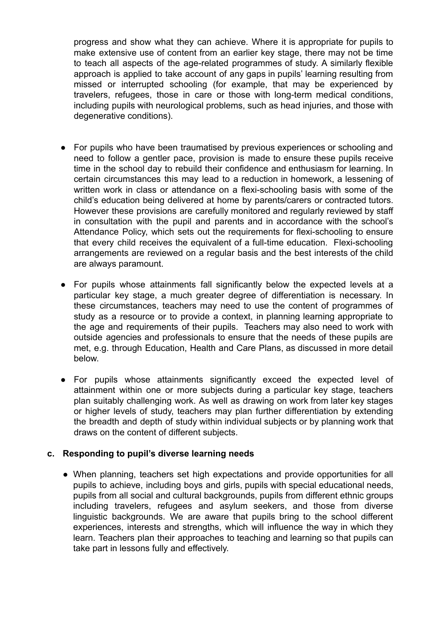progress and show what they can achieve. Where it is appropriate for pupils to make extensive use of content from an earlier key stage, there may not be time to teach all aspects of the age-related programmes of study. A similarly flexible approach is applied to take account of any gaps in pupils' learning resulting from missed or interrupted schooling (for example, that may be experienced by travelers, refugees, those in care or those with long-term medical conditions, including pupils with neurological problems, such as head injuries, and those with degenerative conditions).

- For pupils who have been traumatised by previous experiences or schooling and need to follow a gentler pace, provision is made to ensure these pupils receive time in the school day to rebuild their confidence and enthusiasm for learning. In certain circumstances this may lead to a reduction in homework, a lessening of written work in class or attendance on a flexi-schooling basis with some of the child's education being delivered at home by parents/carers or contracted tutors. However these provisions are carefully monitored and regularly reviewed by staff in consultation with the pupil and parents and in accordance with the school's Attendance Policy, which sets out the requirements for flexi-schooling to ensure that every child receives the equivalent of a full-time education. Flexi-schooling arrangements are reviewed on a regular basis and the best interests of the child are always paramount.
- For pupils whose attainments fall significantly below the expected levels at a particular key stage, a much greater degree of differentiation is necessary. In these circumstances, teachers may need to use the content of programmes of study as a resource or to provide a context, in planning learning appropriate to the age and requirements of their pupils. Teachers may also need to work with outside agencies and professionals to ensure that the needs of these pupils are met, e.g. through Education, Health and Care Plans, as discussed in more detail below.
- For pupils whose attainments significantly exceed the expected level of attainment within one or more subjects during a particular key stage, teachers plan suitably challenging work. As well as drawing on work from later key stages or higher levels of study, teachers may plan further differentiation by extending the breadth and depth of study within individual subjects or by planning work that draws on the content of different subjects.

#### **c. Responding to pupil's diverse learning needs**

● When planning, teachers set high expectations and provide opportunities for all pupils to achieve, including boys and girls, pupils with special educational needs, pupils from all social and cultural backgrounds, pupils from different ethnic groups including travelers, refugees and asylum seekers, and those from diverse linguistic backgrounds. We are aware that pupils bring to the school different experiences, interests and strengths, which will influence the way in which they learn. Teachers plan their approaches to teaching and learning so that pupils can take part in lessons fully and effectively.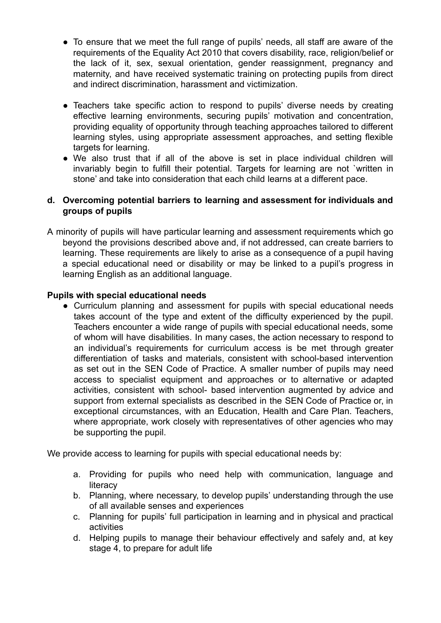- To ensure that we meet the full range of pupils' needs, all staff are aware of the requirements of the Equality Act 2010 that covers disability, race, religion/belief or the lack of it, sex, sexual orientation, gender reassignment, pregnancy and maternity, and have received systematic training on protecting pupils from direct and indirect discrimination, harassment and victimization.
- Teachers take specific action to respond to pupils' diverse needs by creating effective learning environments, securing pupils' motivation and concentration, providing equality of opportunity through teaching approaches tailored to different learning styles, using appropriate assessment approaches, and setting flexible targets for learning.
- We also trust that if all of the above is set in place individual children will invariably begin to fulfill their potential. Targets for learning are not `written in stone' and take into consideration that each child learns at a different pace.

### **d. Overcoming potential barriers to learning and assessment for individuals and groups of pupils**

A minority of pupils will have particular learning and assessment requirements which go beyond the provisions described above and, if not addressed, can create barriers to learning. These requirements are likely to arise as a consequence of a pupil having a special educational need or disability or may be linked to a pupil's progress in learning English as an additional language.

### **Pupils with special educational needs**

● Curriculum planning and assessment for pupils with special educational needs takes account of the type and extent of the difficulty experienced by the pupil. Teachers encounter a wide range of pupils with special educational needs, some of whom will have disabilities. In many cases, the action necessary to respond to an individual's requirements for curriculum access is be met through greater differentiation of tasks and materials, consistent with school-based intervention as set out in the SEN Code of Practice. A smaller number of pupils may need access to specialist equipment and approaches or to alternative or adapted activities, consistent with school- based intervention augmented by advice and support from external specialists as described in the SEN Code of Practice or, in exceptional circumstances, with an Education, Health and Care Plan. Teachers, where appropriate, work closely with representatives of other agencies who may be supporting the pupil.

We provide access to learning for pupils with special educational needs by:

- a. Providing for pupils who need help with communication, language and **literacy**
- b. Planning, where necessary, to develop pupils' understanding through the use of all available senses and experiences
- c. Planning for pupils' full participation in learning and in physical and practical activities
- d. Helping pupils to manage their behaviour effectively and safely and, at key stage 4, to prepare for adult life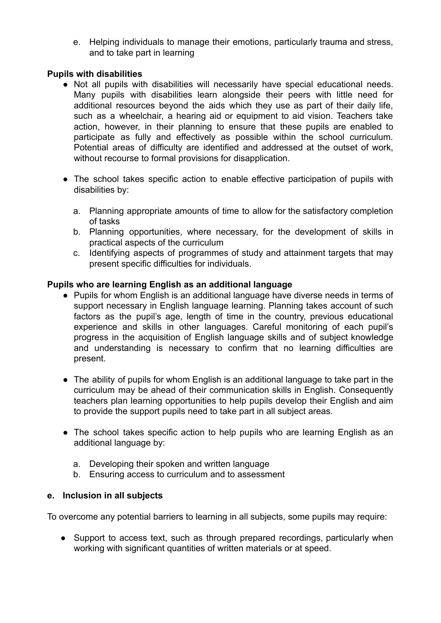e. Helping individuals to manage their emotions, particularly trauma and stress, and to take part in learning

### **Pupils with disabilities**

- Not all pupils with disabilities will necessarily have special educational needs. Many pupils with disabilities learn alongside their peers with little need for additional resources beyond the aids which they use as part of their daily life, such as a wheelchair, a hearing aid or equipment to aid vision. Teachers take action, however, in their planning to ensure that these pupils are enabled to participate as fully and effectively as possible within the school curriculum. Potential areas of difficulty are identified and addressed at the outset of work, without recourse to formal provisions for disapplication.
- The school takes specific action to enable effective participation of pupils with disabilities by:
	- a. Planning appropriate amounts of time to allow for the satisfactory completion of tasks
	- b. Planning opportunities, where necessary, for the development of skills in practical aspects of the curriculum
	- c. Identifying aspects of programmes of study and attainment targets that may present specific difficulties for individuals.

### **Pupils who are learning English as an additional language**

- Pupils for whom English is an additional language have diverse needs in terms of support necessary in English language learning. Planning takes account of such factors as the pupil's age, length of time in the country, previous educational experience and skills in other languages. Careful monitoring of each pupil's progress in the acquisition of English language skills and of subject knowledge and understanding is necessary to confirm that no learning difficulties are present.
- The ability of pupils for whom English is an additional language to take part in the curriculum may be ahead of their communication skills in English. Consequently teachers plan learning opportunities to help pupils develop their English and aim to provide the support pupils need to take part in all subject areas.
- The school takes specific action to help pupils who are learning English as an additional language by:
	- a. Developing their spoken and written language
	- b. Ensuring access to curriculum and to assessment

#### **e. Inclusion in all subjects**

To overcome any potential barriers to learning in all subjects, some pupils may require:

• Support to access text, such as through prepared recordings, particularly when working with significant quantities of written materials or at speed.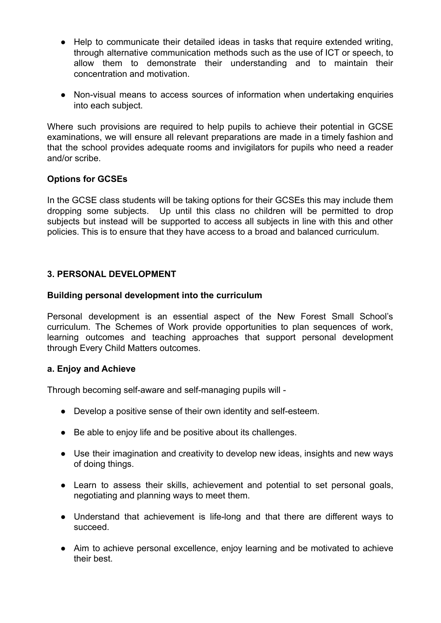- Help to communicate their detailed ideas in tasks that require extended writing, through alternative communication methods such as the use of ICT or speech, to allow them to demonstrate their understanding and to maintain their concentration and motivation.
- Non-visual means to access sources of information when undertaking enquiries into each subject.

Where such provisions are required to help pupils to achieve their potential in GCSE examinations, we will ensure all relevant preparations are made in a timely fashion and that the school provides adequate rooms and invigilators for pupils who need a reader and/or scribe.

## **Options for GCSEs**

In the GCSE class students will be taking options for their GCSEs this may include them dropping some subjects. Up until this class no children will be permitted to drop subjects but instead will be supported to access all subjects in line with this and other policies. This is to ensure that they have access to a broad and balanced curriculum.

### **3. PERSONAL DEVELOPMENT**

#### **Building personal development into the curriculum**

Personal development is an essential aspect of the New Forest Small School's curriculum. The Schemes of Work provide opportunities to plan sequences of work, learning outcomes and teaching approaches that support personal development through Every Child Matters outcomes.

#### **a. Enjoy and Achieve**

Through becoming self-aware and self-managing pupils will -

- Develop a positive sense of their own identity and self-esteem.
- Be able to enjoy life and be positive about its challenges.
- Use their imagination and creativity to develop new ideas, insights and new ways of doing things.
- Learn to assess their skills, achievement and potential to set personal goals, negotiating and planning ways to meet them.
- Understand that achievement is life-long and that there are different ways to succeed.
- Aim to achieve personal excellence, enjoy learning and be motivated to achieve their best.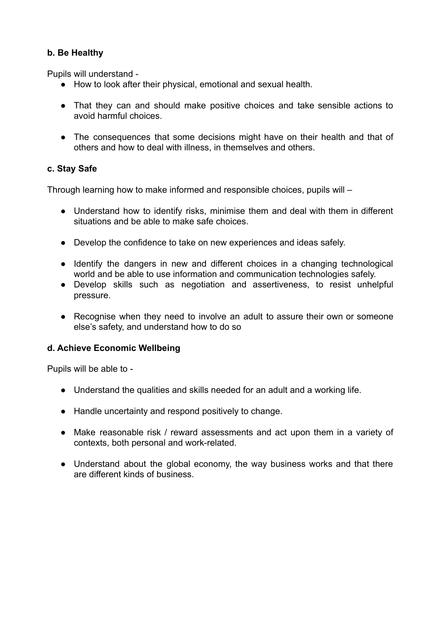# **b. Be Healthy**

Pupils will understand -

- How to look after their physical, emotional and sexual health.
- That they can and should make positive choices and take sensible actions to avoid harmful choices.
- The consequences that some decisions might have on their health and that of others and how to deal with illness, in themselves and others.

# **c. Stay Safe**

Through learning how to make informed and responsible choices, pupils will –

- Understand how to identify risks, minimise them and deal with them in different situations and be able to make safe choices.
- Develop the confidence to take on new experiences and ideas safely.
- Identify the dangers in new and different choices in a changing technological world and be able to use information and communication technologies safely.
- Develop skills such as negotiation and assertiveness, to resist unhelpful pressure.
- Recognise when they need to involve an adult to assure their own or someone else's safety, and understand how to do so

## **d. Achieve Economic Wellbeing**

Pupils will be able to -

- Understand the qualities and skills needed for an adult and a working life.
- Handle uncertainty and respond positively to change.
- Make reasonable risk / reward assessments and act upon them in a variety of contexts, both personal and work-related.
- Understand about the global economy, the way business works and that there are different kinds of business.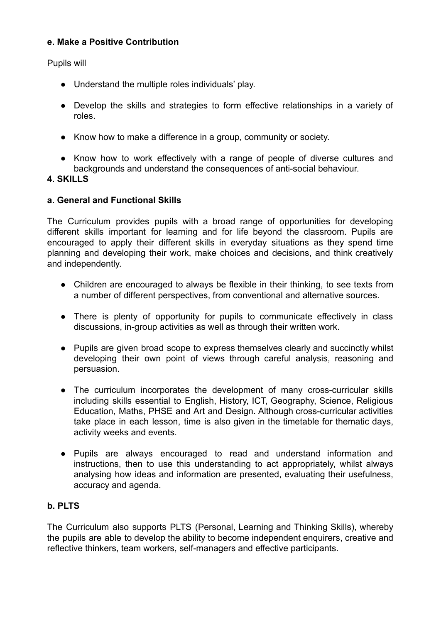## **e. Make a Positive Contribution**

Pupils will

- Understand the multiple roles individuals' play.
- Develop the skills and strategies to form effective relationships in a variety of roles.
- Know how to make a difference in a group, community or society.
- Know how to work effectively with a range of people of diverse cultures and backgrounds and understand the consequences of anti-social behaviour.

### **4. SKILLS**

### **a. General and Functional Skills**

The Curriculum provides pupils with a broad range of opportunities for developing different skills important for learning and for life beyond the classroom. Pupils are encouraged to apply their different skills in everyday situations as they spend time planning and developing their work, make choices and decisions, and think creatively and independently.

- Children are encouraged to always be flexible in their thinking, to see texts from a number of different perspectives, from conventional and alternative sources.
- There is plenty of opportunity for pupils to communicate effectively in class discussions, in-group activities as well as through their written work.
- Pupils are given broad scope to express themselves clearly and succinctly whilst developing their own point of views through careful analysis, reasoning and persuasion.
- The curriculum incorporates the development of many cross-curricular skills including skills essential to English, History, ICT, Geography, Science, Religious Education, Maths, PHSE and Art and Design. Although cross-curricular activities take place in each lesson, time is also given in the timetable for thematic days, activity weeks and events.
- Pupils are always encouraged to read and understand information and instructions, then to use this understanding to act appropriately, whilst always analysing how ideas and information are presented, evaluating their usefulness, accuracy and agenda.

## **b. PLTS**

The Curriculum also supports PLTS (Personal, Learning and Thinking Skills), whereby the pupils are able to develop the ability to become independent enquirers, creative and reflective thinkers, team workers, self-managers and effective participants.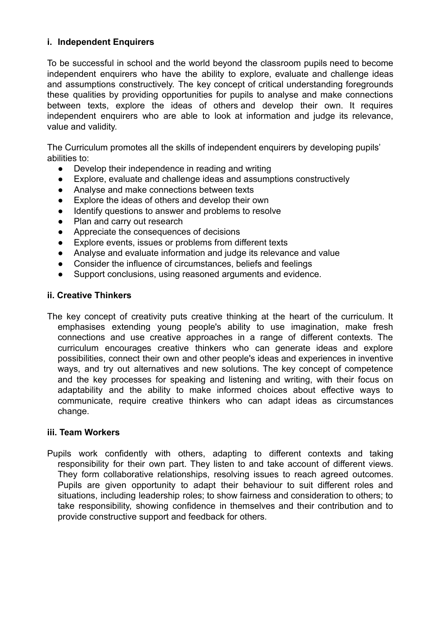### **i. Independent Enquirers**

To be successful in school and the world beyond the classroom pupils need to become independent enquirers who have the ability to explore, evaluate and challenge ideas and assumptions constructively. The key concept of critical understanding foregrounds these qualities by providing opportunities for pupils to analyse and make connections between texts, explore the ideas of others and develop their own. It requires independent enquirers who are able to look at information and judge its relevance, value and validity.

The Curriculum promotes all the skills of independent enquirers by developing pupils' abilities to:

- Develop their independence in reading and writing
- Explore, evaluate and challenge ideas and assumptions constructively
- Analyse and make connections between texts
- Explore the ideas of others and develop their own
- Identify questions to answer and problems to resolve
- Plan and carry out research
- Appreciate the consequences of decisions
- Explore events, issues or problems from different texts
- Analyse and evaluate information and judge its relevance and value
- Consider the influence of circumstances, beliefs and feelings
- Support conclusions, using reasoned arguments and evidence.

#### **ii. Creative Thinkers**

The key concept of creativity puts creative thinking at the heart of the curriculum. It emphasises extending young people's ability to use imagination, make fresh connections and use creative approaches in a range of different contexts. The curriculum encourages creative thinkers who can generate ideas and explore possibilities, connect their own and other people's ideas and experiences in inventive ways, and try out alternatives and new solutions. The key concept of competence and the key processes for speaking and listening and writing, with their focus on adaptability and the ability to make informed choices about effective ways to communicate, require creative thinkers who can adapt ideas as circumstances change.

#### **iii. Team Workers**

Pupils work confidently with others, adapting to different contexts and taking responsibility for their own part. They listen to and take account of different views. They form collaborative relationships, resolving issues to reach agreed outcomes. Pupils are given opportunity to adapt their behaviour to suit different roles and situations, including leadership roles; to show fairness and consideration to others; to take responsibility, showing confidence in themselves and their contribution and to provide constructive support and feedback for others.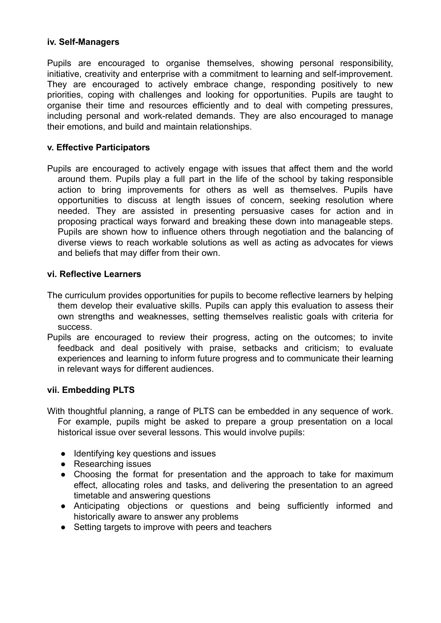#### **iv. Self-Managers**

Pupils are encouraged to organise themselves, showing personal responsibility, initiative, creativity and enterprise with a commitment to learning and self-improvement. They are encouraged to actively embrace change, responding positively to new priorities, coping with challenges and looking for opportunities. Pupils are taught to organise their time and resources efficiently and to deal with competing pressures, including personal and work-related demands. They are also encouraged to manage their emotions, and build and maintain relationships.

#### **v. Effective Participators**

Pupils are encouraged to actively engage with issues that affect them and the world around them. Pupils play a full part in the life of the school by taking responsible action to bring improvements for others as well as themselves. Pupils have opportunities to discuss at length issues of concern, seeking resolution where needed. They are assisted in presenting persuasive cases for action and in proposing practical ways forward and breaking these down into manageable steps. Pupils are shown how to influence others through negotiation and the balancing of diverse views to reach workable solutions as well as acting as advocates for views and beliefs that may differ from their own.

#### **vi. Reflective Learners**

- The curriculum provides opportunities for pupils to become reflective learners by helping them develop their evaluative skills. Pupils can apply this evaluation to assess their own strengths and weaknesses, setting themselves realistic goals with criteria for success.
- Pupils are encouraged to review their progress, acting on the outcomes; to invite feedback and deal positively with praise, setbacks and criticism; to evaluate experiences and learning to inform future progress and to communicate their learning in relevant ways for different audiences.

#### **vii. Embedding PLTS**

- With thoughtful planning, a range of PLTS can be embedded in any sequence of work. For example, pupils might be asked to prepare a group presentation on a local historical issue over several lessons. This would involve pupils:
	- Identifying key questions and issues
	- Researching issues
	- Choosing the format for presentation and the approach to take for maximum effect, allocating roles and tasks, and delivering the presentation to an agreed timetable and answering questions
	- Anticipating objections or questions and being sufficiently informed and historically aware to answer any problems
	- Setting targets to improve with peers and teachers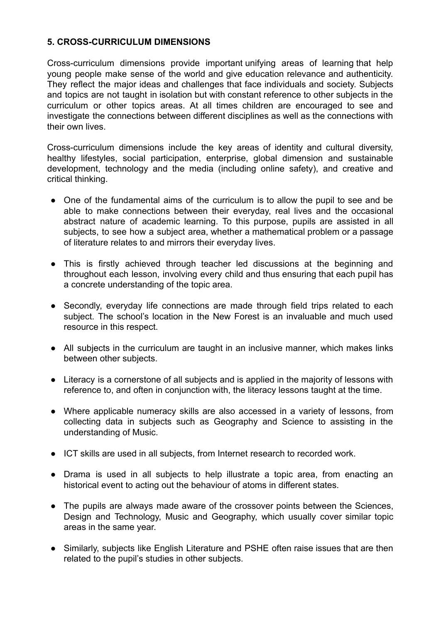### **5. CROSS-CURRICULUM DIMENSIONS**

Cross-curriculum dimensions provide important unifying areas of learning that help young people make sense of the world and give education relevance and authenticity. They reflect the major ideas and challenges that face individuals and society. Subjects and topics are not taught in isolation but with constant reference to other subjects in the curriculum or other topics areas. At all times children are encouraged to see and investigate the connections between different disciplines as well as the connections with their own lives.

Cross-curriculum dimensions include the key areas of identity and cultural diversity, healthy lifestyles, social participation, enterprise, global dimension and sustainable development, technology and the media (including online safety), and creative and critical thinking.

- One of the fundamental aims of the curriculum is to allow the pupil to see and be able to make connections between their everyday, real lives and the occasional abstract nature of academic learning. To this purpose, pupils are assisted in all subjects, to see how a subject area, whether a mathematical problem or a passage of literature relates to and mirrors their everyday lives.
- This is firstly achieved through teacher led discussions at the beginning and throughout each lesson, involving every child and thus ensuring that each pupil has a concrete understanding of the topic area.
- Secondly, everyday life connections are made through field trips related to each subject. The school's location in the New Forest is an invaluable and much used resource in this respect.
- All subjects in the curriculum are taught in an inclusive manner, which makes links between other subjects.
- Literacy is a cornerstone of all subjects and is applied in the majority of lessons with reference to, and often in conjunction with, the literacy lessons taught at the time.
- Where applicable numeracy skills are also accessed in a variety of lessons, from collecting data in subjects such as Geography and Science to assisting in the understanding of Music.
- ICT skills are used in all subjects, from Internet research to recorded work.
- Drama is used in all subjects to help illustrate a topic area, from enacting an historical event to acting out the behaviour of atoms in different states.
- The pupils are always made aware of the crossover points between the Sciences, Design and Technology, Music and Geography, which usually cover similar topic areas in the same year.
- Similarly, subjects like English Literature and PSHE often raise issues that are then related to the pupil's studies in other subjects.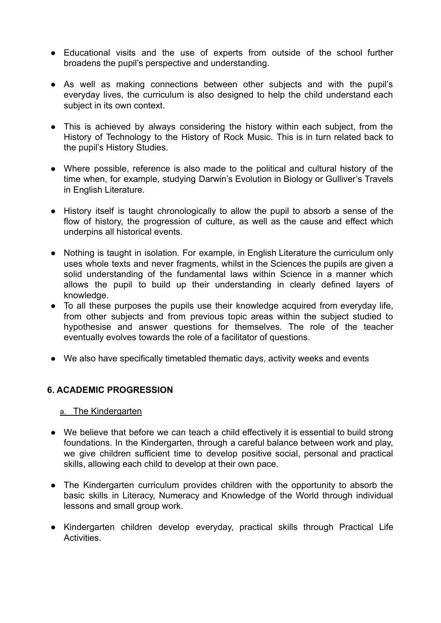- Educational visits and the use of experts from outside of the school further broadens the pupil's perspective and understanding.
- As well as making connections between other subjects and with the pupil's everyday lives, the curriculum is also designed to help the child understand each subject in its own context.
- This is achieved by always considering the history within each subject, from the History of Technology to the History of Rock Music. This is in turn related back to the pupil's History Studies.
- Where possible, reference is also made to the political and cultural history of the time when, for example, studying Darwin's Evolution in Biology or Gulliver's Travels in English Literature.
- History itself is taught chronologically to allow the pupil to absorb a sense of the flow of history, the progression of culture, as well as the cause and effect which underpins all historical events.
- Nothing is taught in isolation. For example, in English Literature the curriculum only uses whole texts and never fragments, whilst in the Sciences the pupils are given a solid understanding of the fundamental laws within Science in a manner which allows the pupil to build up their understanding in clearly defined layers of knowledge.
- To all these purposes the pupils use their knowledge acquired from everyday life, from other subjects and from previous topic areas within the subject studied to hypothesise and answer questions for themselves. The role of the teacher eventually evolves towards the role of a facilitator of questions.
- We also have specifically timetabled thematic days, activity weeks and events

#### **6. ACADEMIC PROGRESSION**

#### a. The Kindergarten

- We believe that before we can teach a child effectively it is essential to build strong foundations. In the Kindergarten, through a careful balance between work and play, we give children sufficient time to develop positive social, personal and practical skills, allowing each child to develop at their own pace.
- The Kindergarten curriculum provides children with the opportunity to absorb the basic skills in Literacy, Numeracy and Knowledge of the World through individual lessons and small group work.
- Kindergarten children develop everyday, practical skills through Practical Life Activities.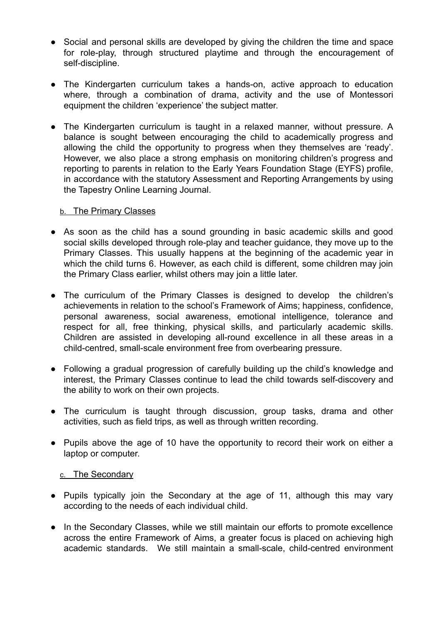- Social and personal skills are developed by giving the children the time and space for role-play, through structured playtime and through the encouragement of self-discipline.
- The Kindergarten curriculum takes a hands-on, active approach to education where, through a combination of drama, activity and the use of Montessori equipment the children 'experience' the subject matter.
- The Kindergarten curriculum is taught in a relaxed manner, without pressure. A balance is sought between encouraging the child to academically progress and allowing the child the opportunity to progress when they themselves are 'ready'. However, we also place a strong emphasis on monitoring children's progress and reporting to parents in relation to the Early Years Foundation Stage (EYFS) profile, in accordance with the statutory Assessment and Reporting Arrangements by using the Tapestry Online Learning Journal.

#### b. The Primary Classes

- As soon as the child has a sound grounding in basic academic skills and good social skills developed through role-play and teacher guidance, they move up to the Primary Classes. This usually happens at the beginning of the academic year in which the child turns 6. However, as each child is different, some children may join the Primary Class earlier, whilst others may join a little later.
- The curriculum of the Primary Classes is designed to develop the children's achievements in relation to the school's Framework of Aims; happiness, confidence, personal awareness, social awareness, emotional intelligence, tolerance and respect for all, free thinking, physical skills, and particularly academic skills. Children are assisted in developing all-round excellence in all these areas in a child-centred, small-scale environment free from overbearing pressure.
- Following a gradual progression of carefully building up the child's knowledge and interest, the Primary Classes continue to lead the child towards self-discovery and the ability to work on their own projects.
- The curriculum is taught through discussion, group tasks, drama and other activities, such as field trips, as well as through written recording.
- Pupils above the age of 10 have the opportunity to record their work on either a laptop or computer.

#### c. The Secondary

- Pupils typically join the Secondary at the age of 11, although this may vary according to the needs of each individual child.
- In the Secondary Classes, while we still maintain our efforts to promote excellence across the entire Framework of Aims, a greater focus is placed on achieving high academic standards. We still maintain a small-scale, child-centred environment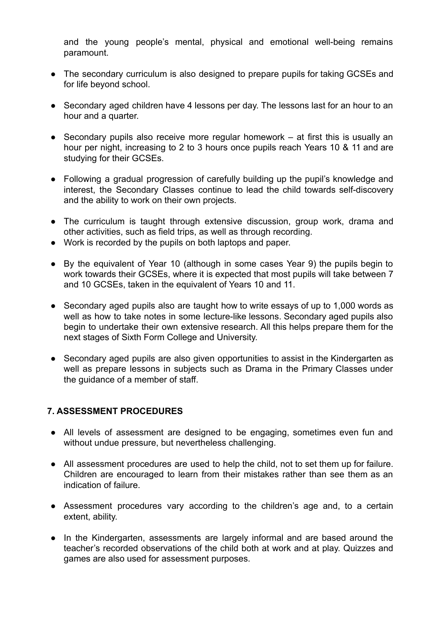and the young people's mental, physical and emotional well-being remains paramount.

- The secondary curriculum is also designed to prepare pupils for taking GCSEs and for life beyond school.
- Secondary aged children have 4 lessons per day. The lessons last for an hour to an hour and a quarter.
- $\bullet$  Secondary pupils also receive more regular homework at first this is usually an hour per night, increasing to 2 to 3 hours once pupils reach Years 10 & 11 and are studying for their GCSEs.
- Following a gradual progression of carefully building up the pupil's knowledge and interest, the Secondary Classes continue to lead the child towards self-discovery and the ability to work on their own projects.
- The curriculum is taught through extensive discussion, group work, drama and other activities, such as field trips, as well as through recording.
- Work is recorded by the pupils on both laptops and paper.
- By the equivalent of Year 10 (although in some cases Year 9) the pupils begin to work towards their GCSEs, where it is expected that most pupils will take between 7 and 10 GCSEs, taken in the equivalent of Years 10 and 11.
- Secondary aged pupils also are taught how to write essays of up to 1,000 words as well as how to take notes in some lecture-like lessons. Secondary aged pupils also begin to undertake their own extensive research. All this helps prepare them for the next stages of Sixth Form College and University.
- Secondary aged pupils are also given opportunities to assist in the Kindergarten as well as prepare lessons in subjects such as Drama in the Primary Classes under the guidance of a member of staff.

#### **7. ASSESSMENT PROCEDURES**

- All levels of assessment are designed to be engaging, sometimes even fun and without undue pressure, but nevertheless challenging.
- All assessment procedures are used to help the child, not to set them up for failure. Children are encouraged to learn from their mistakes rather than see them as an indication of failure.
- Assessment procedures vary according to the children's age and, to a certain extent, ability.
- In the Kindergarten, assessments are largely informal and are based around the teacher's recorded observations of the child both at work and at play. Quizzes and games are also used for assessment purposes.